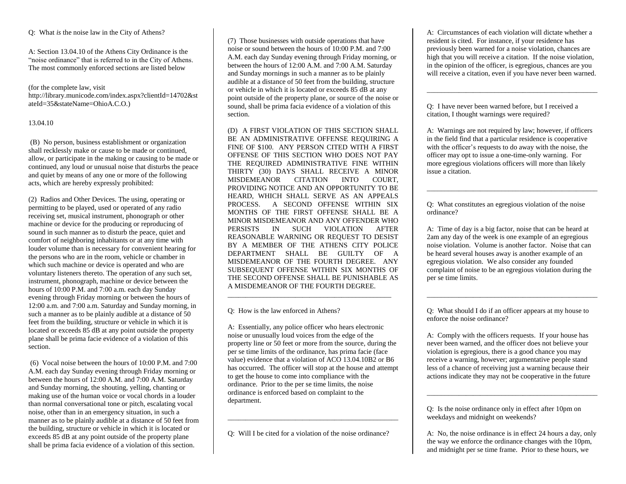Q: What *is* the noise law in the City of Athens?

A: Section 13.04.10 of the Athens City Ordinance is the "noise ordinance" that is referred to in the City of Athens. The most commonly enforced sections are listed below

(for the complete law, visit http://library.municode.com/index.aspx?clientId=14702&st ateId=35&stateName=OhioA.C.O.)

## 13.04.10

(B) No person, business establishment or organization shall recklessly make or cause to be made or continued, allow, or participate in the making or causing to be made or continued, any loud or unusual noise that disturbs the peace and quiet by means of any one or more of the following acts, which are hereby expressly prohibited:

(2) Radios and Other Devices. The using, operating or permitting to be played, used or operated of any radio receiving set, musical instrument, phonograph or other machine or device for the producing or reproducing of sound in such manner as to disturb the peace, quiet and comfort of neighboring inhabitants or at any time with louder volume than is necessary for convenient hearing for the persons who are in the room, vehicle or chamber in which such machine or device is operated and who are voluntary listeners thereto. The operation of any such set, instrument, phonograph, machine or device between the hours of 10:00 P.M. and 7:00 a.m. each day Sunday evening through Friday morning or between the hours of 12:00 a.m. and 7:00 a.m. Saturday and Sunday morning, in such a manner as to be plainly audible at a distance of 50 feet from the building, structure or vehicle in which it is located or exceeds  $85$  dB at any point outside the property plane shall be prima facie evidence of a violation of this section.

(6) Vocal noise between the hours of 10:00 P.M. and 7:00 A.M. each day Sunday evening through Friday morning or between the hours of 12:00 A.M. and 7:00 A.M. Saturday and Sunday morning, the shouting, yelling, chanting or making use of the human voice or vocal chords in a louder than normal conversational tone or pitch, escalating vocal noise, other than in an emergency situation, in such a manner as to be plainly audible at a distance of 50 feet from the building, structure or vehicle in which it is located or exceeds 85 dB at any point outside of the property plane shall be prima facia evidence of a violation of this section.

(7) Those businesses with outside operations that have noise or sound between the hours of 10:00 P.M. and 7:00 A.M. each day Sunday evening through Friday morning, or between the hours of 12:00 A.M. and 7:00 A.M. Saturday and Sunday mornings in such a manner as to be plainly audible at a distance of 50 feet from the building, structure or vehicle in which it is located or exceeds 85 dB at any point outside of the property plane, or source of the noise or sound, shall be prima facia evidence of a violation of this section.

(D) A FIRST VIOLATION OF THIS SECTION SHALL BE AN ADMINISTRATIVE OFFENSE REQUIRING A FINE OF \$100. ANY PERSON CITED WITH A FIRST OFFENSE OF THIS SECTION WHO DOES NOT PAY THE REQUIRED ADMINISTRATIVE FINE WITHIN THIRTY (30) DAYS SHALL RECEIVE A MINOR MISDEMEANOR CITATION INTO COURT, PROVIDING NOTICE AND AN OPPORTUNITY TO BE HEARD, WHICH SHALL SERVE AS AN APPEALS PROCESS. A SECOND OFFENSE WITHIN SIX MONTHS OF THE FIRST OFFENSE SHALL BE A MINOR MISDEMEANOR AND ANY OFFENDER WHO PERSISTS IN SUCH VIOLATION AFTER REASONABLE WARNING OR REQUEST TO DESIST BY A MEMBER OF THE ATHENS CITY POLICE DEPARTMENT SHALL BE GUILTY OF A MISDEMEANOR OF THE FOURTH DEGREE. ANY SUBSEQUENT OFFENSE WITHIN SIX MONTHS OF THE SECOND OFFENSE SHALL BE PUNISHABLE AS A MISDEMEANOR OF THE FOURTH DEGREE.

Q: How is the law enforced in Athens?

A: Essentially, any police officer who hears electronic noise or unusually loud voices from the edge of the property line or 50 feet or more from the source, during the per se time limits of the ordinance, has prima facie (face value) evidence that a violation of ACO 13.04.10B2 or B6 has occurred. The officer will stop at the house and attempt to get the house to come into compliance with the ordinance. Prior to the per se time limits, the noise ordinance is enforced based on complaint to the department.

\_\_\_\_\_\_\_\_\_\_\_\_\_\_\_\_\_\_\_\_\_\_\_\_\_\_\_\_\_\_\_\_\_\_\_\_\_\_\_\_\_\_\_\_\_\_

Q: Will I be cited for a violation of the noise ordinance?

\_\_\_\_\_\_\_\_\_\_\_\_\_\_\_\_\_\_\_\_\_\_\_\_\_\_\_\_\_\_\_\_\_\_\_\_\_\_\_\_\_\_\_\_\_\_\_\_

A: Circumstances of each violation will dictate whether a resident is cited. For instance, if your residence has previously been warned for a noise violation, chances are high that you will receive a citation. If the noise violation, in the opinion of the officer, is egregious, chances are you will receive a citation, even if you have never been warned.

\_\_\_\_\_\_\_\_\_\_\_\_\_\_\_\_\_\_\_\_\_\_\_\_\_\_\_\_\_\_\_\_\_\_\_\_\_\_\_\_\_\_\_\_\_\_\_\_

Q: I have never been warned before, but I received a citation, I thought warnings were required?

A: Warnings are not required by law; however, if officers in the field find that a particular residence is cooperative with the officer's requests to do away with the noise, the officer may opt to issue a one-time-only warning. For more egregious violations officers will more than likely issue a citation.

\_\_\_\_\_\_\_\_\_\_\_\_\_\_\_\_\_\_\_\_\_\_\_\_\_\_\_\_\_\_\_\_\_\_\_\_\_\_\_\_\_\_\_\_\_\_\_\_

Q: What constitutes an egregious violation of the noise ordinance?

A: Time of day is a big factor, noise that can be heard at 2am any day of the week is one example of an egregious noise violation. Volume is another factor. Noise that can be heard several houses away is another example of an egregious violation. We also consider any founded complaint of noise to be an egregious violation during the per se time limits.

Q: What should I do if an officer appears at my house to enforce the noise ordinance?

\_\_\_\_\_\_\_\_\_\_\_\_\_\_\_\_\_\_\_\_\_\_\_\_\_\_\_\_\_\_\_\_\_\_\_\_\_\_\_\_\_\_\_\_\_\_\_\_

A: Comply with the officers requests. If your house has never been warned, and the officer does not believe your violation is egregious, there is a good chance you may receive a warning, however; argumentative people stand less of a chance of receiving just a warning because their actions indicate they may not be cooperative in the future

\_\_\_\_\_\_\_\_\_\_\_\_\_\_\_\_\_\_\_\_\_\_\_\_\_\_\_\_\_\_\_\_\_\_\_\_\_\_\_\_\_\_\_\_\_\_\_\_

Q: Is the noise ordinance only in effect after 10pm on weekdays and midnight on weekends?

A: No, the noise ordinance is in effect 24 hours a day, only the way we enforce the ordinance changes with the 10pm, and midnight per se time frame. Prior to these hours, we